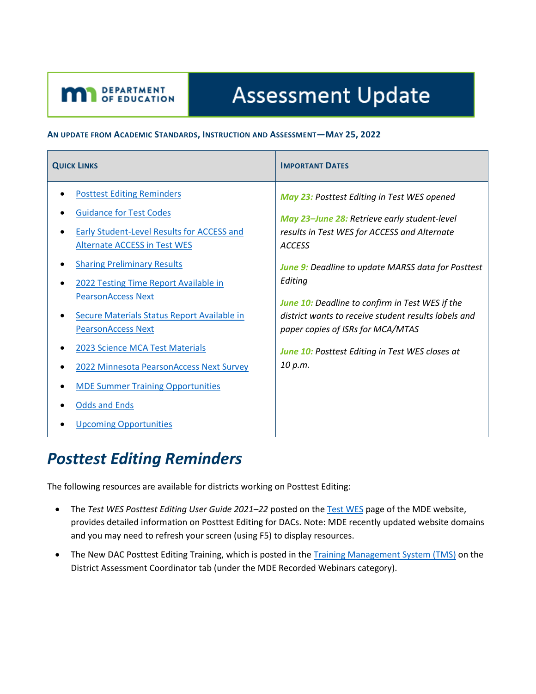# **Assessment Update**

#### **AN UPDATE FROM ACADEMIC STANDARDS, INSTRUCTION AND ASSESSMENT—MAY 25, 2022**

| <b>QUICK LINKS</b>                                                                                                                                                                                                                                                                                                                                                                                                                                                                                                                          | <b>IMPORTANT DATES</b>                                                                                                                                                                                                                                                                                                                                                                                                                             |
|---------------------------------------------------------------------------------------------------------------------------------------------------------------------------------------------------------------------------------------------------------------------------------------------------------------------------------------------------------------------------------------------------------------------------------------------------------------------------------------------------------------------------------------------|----------------------------------------------------------------------------------------------------------------------------------------------------------------------------------------------------------------------------------------------------------------------------------------------------------------------------------------------------------------------------------------------------------------------------------------------------|
| <b>Posttest Editing Reminders</b><br><b>Guidance for Test Codes</b><br>Early Student-Level Results for ACCESS and<br><b>Alternate ACCESS in Test WES</b><br><b>Sharing Preliminary Results</b><br>2022 Testing Time Report Available in<br><b>PearsonAccess Next</b><br>Secure Materials Status Report Available in<br><b>PearsonAccess Next</b><br><b>2023 Science MCA Test Materials</b><br>2022 Minnesota PearsonAccess Next Survey<br><b>MDE Summer Training Opportunities</b><br><b>Odds and Ends</b><br><b>Upcoming Opportunities</b> | May 23: Posttest Editing in Test WES opened<br>May 23-June 28: Retrieve early student-level<br>results in Test WES for ACCESS and Alternate<br><b>ACCESS</b><br><b>June 9:</b> Deadline to update MARSS data for Posttest<br>Editing<br>June 10: Deadline to confirm in Test WES if the<br>district wants to receive student results labels and<br>paper copies of ISRs for MCA/MTAS<br>June 10: Posttest Editing in Test WES closes at<br>10 p.m. |

### <span id="page-0-0"></span>*Posttest Editing Reminders*

<span id="page-0-1"></span>DEPARTMENT

The following resources are available for districts working on Posttest Editing:

- The *Test WES Posttest Editing User Guide 2021–22* posted on th[e Test](https://education.mn.gov/MDE/dse/datasub/TestWES/) WES page of the MDE website, provides detailed information on Posttest Editing for DACs. Note: MDE recently updated website domains and you may need to refresh your screen (using F5) to display resources.
- The New DAC Posttest Editing Training, which is posted in the [Training Management System \(TMS\)](http://minnesota.pearsonaccessnext.com/training/) on the District Assessment Coordinator tab (under the MDE Recorded Webinars category).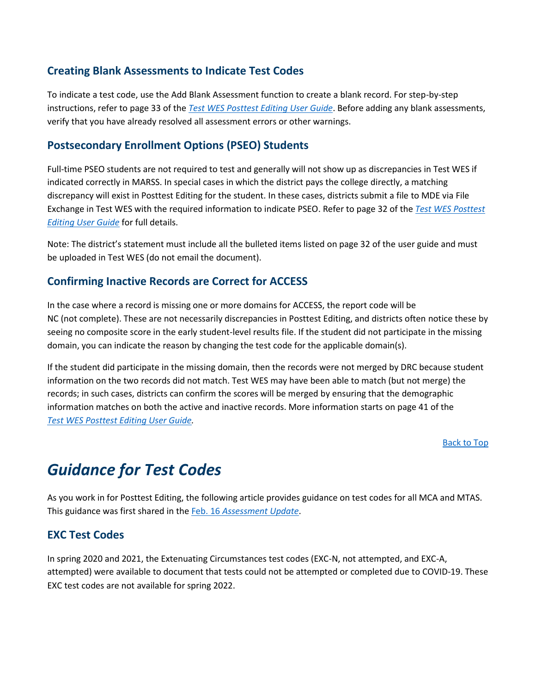#### **Creating Blank Assessments to Indicate Test Codes**

To indicate a test code, use the Add Blank Assessment function to create a blank record. For step-by-step instructions, refer to page 33 of the *Test WES [Posttest Editing User Guide](https://education.mn.gov/MDE/dse/datasub/TestWES/)*. Before adding any blank assessments, verify that you have already resolved all assessment errors or other warnings.

#### **Postsecondary Enrollment Options (PSEO) Students**

Full-time PSEO students are not required to test and generally will not show up as discrepancies in Test WES if indicated correctly in MARSS. In special cases in which the district pays the college directly, a matching discrepancy will exist in Posttest Editing for the student. In these cases, districts submit a file to MDE via File Exchange in Test WES with the required information to indicate PSEO. Refer to page 32 of the *Test WES [Posttest](https://education.mn.gov/MDE/dse/datasub/TestWES/)  [Editing User Guide](https://education.mn.gov/MDE/dse/datasub/TestWES/)* for full details.

Note: The district's statement must include all the bulleted items listed on page 32 of the user guide and must be uploaded in Test WES (do not email the document).

#### **Confirming Inactive Records are Correct for ACCESS**

In the case where a record is missing one or more domains for ACCESS, the report code will be NC (not complete). These are not necessarily discrepancies in Posttest Editing, and districts often notice these by seeing no composite score in the early student-level results file. If the student did not participate in the missing domain, you can indicate the reason by changing the test code for the applicable domain(s).

If the student did participate in the missing domain, then the records were not merged by DRC because student information on the two records did not match. Test WES may have been able to match (but not merge) the records; in such cases, districts can confirm the scores will be merged by ensuring that the demographic information matches on both the active and inactive records. More information starts on page 41 of the *Test WES [Posttest Editing User Guide.](https://education.mn.gov/MDE/dse/datasub/TestWES/)*

[Back to Top](#page-0-1)

## <span id="page-1-0"></span>*Guidance for Test Codes*

As you work in for Posttest Editing, the following article provides guidance on test codes for all MCA and MTAS. This guidance was first shared in the Feb. 16 *[Assessment Update](http://minnesota.pearsonaccessnext.com/mde-updates/assessment-update/)*.

### **EXC Test Codes**

In spring 2020 and 2021, the Extenuating Circumstances test codes (EXC-N, not attempted, and EXC-A, attempted) were available to document that tests could not be attempted or completed due to COVID-19. These EXC test codes are not available for spring 2022.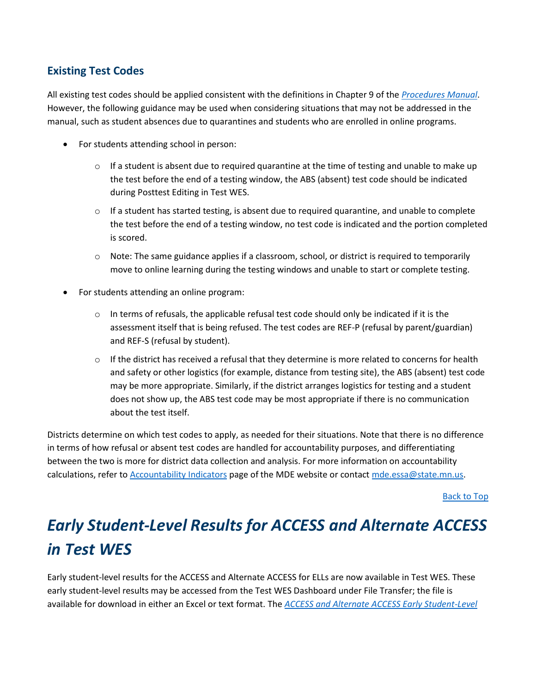### **Existing Test Codes**

All existing test codes should be applied consistent with the definitions in Chapter 9 of the *[Procedures](http://minnesota.pearsonaccessnext.com/policies-and-procedures/) Manual*. However, the following guidance may be used when considering situations that may not be addressed in the manual, such as student absences due to quarantines and students who are enrolled in online programs.

- For students attending school in person:
	- $\circ$  If a student is absent due to required quarantine at the time of testing and unable to make up the test before the end of a testing window, the ABS (absent) test code should be indicated during Posttest Editing in Test WES.
	- $\circ$  If a student has started testing, is absent due to required quarantine, and unable to complete the test before the end of a testing window, no test code is indicated and the portion completed is scored.
	- $\circ$  Note: The same guidance applies if a classroom, school, or district is required to temporarily move to online learning during the testing windows and unable to start or complete testing.
- For students attending an online program:
	- $\circ$  In terms of refusals, the applicable refusal test code should only be indicated if it is the assessment itself that is being refused. The test codes are REF-P (refusal by parent/guardian) and REF-S (refusal by student).
	- $\circ$  If the district has received a refusal that they determine is more related to concerns for health and safety or other logistics (for example, distance from testing site), the ABS (absent) test code may be more appropriate. Similarly, if the district arranges logistics for testing and a student does not show up, the ABS test code may be most appropriate if there is no communication about the test itself.

Districts determine on which test codes to apply, as needed for their situations. Note that there is no difference in terms of how refusal or absent test codes are handled for accountability purposes, and differentiating between the two is more for district data collection and analysis. For more information on accountability calculations, refer to [Accountability Indicators](https://education.mn.gov/MDE/dse/account/indicators/) page of the MDE website or contact [mde.essa@state.mn.us.](mailto:mde.essa@state.mn.us)

[Back to Top](#page-0-1)

# <span id="page-2-0"></span>*Early Student-Level Results for ACCESS and Alternate ACCESS in Test WES*

Early student-level results for the ACCESS and Alternate ACCESS for ELLs are now available in Test WES. These early student-level results may be accessed from the Test WES Dashboard under File Transfer; the file is available for download in either an Excel or text format. The *[ACCESS and Alternate ACCESS Early Student-Level](https://education.mn.gov/MDE/dse/datasub/TestWES/)*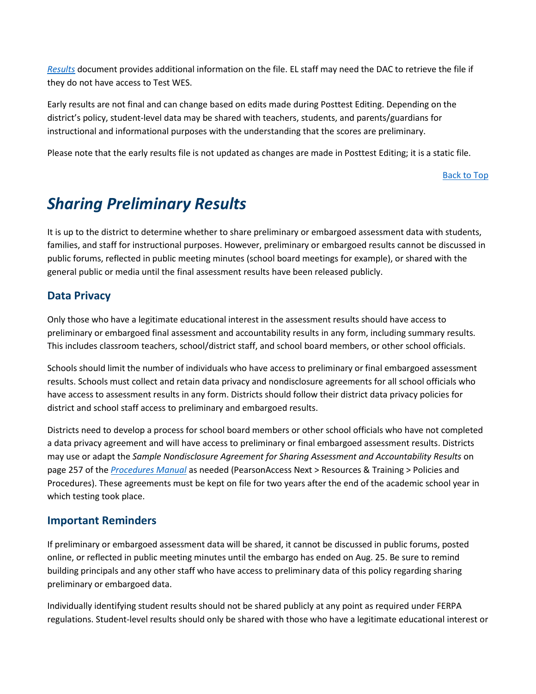*[Results](https://education.mn.gov/MDE/dse/datasub/TestWES/)* document provides additional information on the file. EL staff may need the DAC to retrieve the file if they do not have access to Test WES.

Early results are not final and can change based on edits made during Posttest Editing. Depending on the district's policy, student-level data may be shared with teachers, students, and parents/guardians for instructional and informational purposes with the understanding that the scores are preliminary.

Please note that the early results file is not updated as changes are made in Posttest Editing; it is a static file.

[Back to Top](#page-0-1)

### <span id="page-3-0"></span>*Sharing Preliminary Results*

It is up to the district to determine whether to share preliminary or embargoed assessment data with students, families, and staff for instructional purposes. However, preliminary or embargoed results cannot be discussed in public forums, reflected in public meeting minutes (school board meetings for example), or shared with the general public or media until the final assessment results have been released publicly.

#### **Data Privacy**

Only those who have a legitimate educational interest in the assessment results should have access to preliminary or embargoed final assessment and accountability results in any form, including summary results. This includes classroom teachers, school/district staff, and school board members, or other school officials.

Schools should limit the number of individuals who have access to preliminary or final embargoed assessment results. Schools must collect and retain data privacy and nondisclosure agreements for all school officials who have access to assessment results in any form. Districts should follow their district data privacy policies for district and school staff access to preliminary and embargoed results.

Districts need to develop a process for school board members or other school officials who have not completed a data privacy agreement and will have access to preliminary or final embargoed assessment results. Districts may use or adapt the *Sample Nondisclosure Agreement for Sharing Assessment and Accountability Results* on page 257 of the *[Procedures Manual](http://minnesota.pearsonaccessnext.com/policies-and-procedures/)* as needed (PearsonAccess Next > Resources & Training > Policies and Procedures). These agreements must be kept on file for two years after the end of the academic school year in which testing took place.

#### **Important Reminders**

If preliminary or embargoed assessment data will be shared, it cannot be discussed in public forums, posted online, or reflected in public meeting minutes until the embargo has ended on Aug. 25. Be sure to remind building principals and any other staff who have access to preliminary data of this policy regarding sharing preliminary or embargoed data.

Individually identifying student results should not be shared publicly at any point as required under FERPA regulations. Student-level results should only be shared with those who have a legitimate educational interest or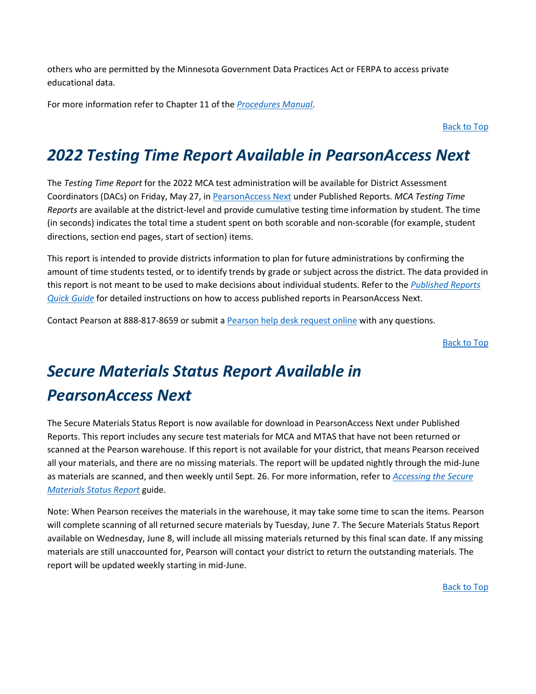others who are permitted by the Minnesota Government Data Practices Act or FERPA to access private educational data.

For more information refer to Chapter 11 of the *[Procedures Manual](http://minnesota.pearsonaccessnext.com/policies-and-procedures/)*.

[Back to Top](#page-0-1)

### <span id="page-4-0"></span>*2022 Testing Time Report Available in PearsonAccess Next*

The *Testing Time Report* for the 2022 MCA test administration will be available for District Assessment Coordinators (DACs) on Friday, May 27, in [PearsonAccess](http://minnesota.pearsonaccessnext.com/pearsonaccessnext/) Next under Published Reports. *MCA Testing Time Reports* are available at the district-level and provide cumulative testing time information by student. The time (in seconds) indicates the total time a student spent on both scorable and non-scorable (for example, student directions, section end pages, start of section) items.

This report is intended to provide districts information to plan for future administrations by confirming the amount of time students tested, or to identify trends by grade or subject across the district. The data provided in this report is not meant to be used to make decisions about individual students. Refer to the *[Published Reports](http://minnesota.pearsonaccessnext.com/additional-services/)  [Quick Guide](http://minnesota.pearsonaccessnext.com/additional-services/)* for detailed instructions on how to access published reports in PearsonAccess Next.

Contact Pearson at 888-817-8659 or submit [a Pearson help desk request online](http://download.pearsonaccessnext.com/ref/WebToCase.html?p=MINNESOTA) with any questions.

[Back to Top](#page-0-1)

# <span id="page-4-1"></span>*Secure Materials Status Report Available in PearsonAccess Next*

The Secure Materials Status Report is now available for download in PearsonAccess Next under Published Reports. This report includes any secure test materials for MCA and MTAS that have not been returned or scanned at the Pearson warehouse. If this report is not available for your district, that means Pearson received all your materials, and there are no missing materials. The report will be updated nightly through the mid-June as materials are scanned, and then weekly until Sept. 26. For more information, refer to *[Accessing the Secure](http://minnesota.pearsonaccessnext.com/user-guides/)  [Materials Status Report](http://minnesota.pearsonaccessnext.com/user-guides/)* guide.

Note: When Pearson receives the materials in the warehouse, it may take some time to scan the items. Pearson will complete scanning of all returned secure materials by Tuesday, June 7. The Secure Materials Status Report available on Wednesday, June 8, will include all missing materials returned by this final scan date. If any missing materials are still unaccounted for, Pearson will contact your district to return the outstanding materials. The report will be updated weekly starting in mid-June.

[Back to Top](#page-0-1)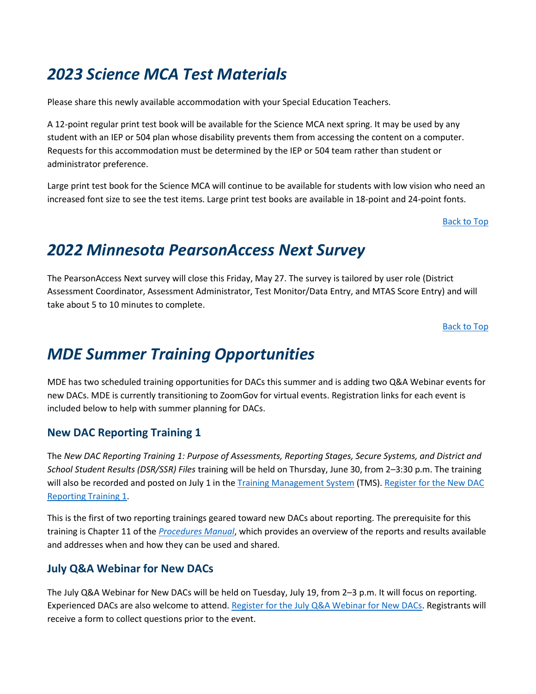### <span id="page-5-0"></span>*2023 Science MCA Test Materials*

Please share this newly available accommodation with your Special Education Teachers.

A 12-point regular print test book will be available for the Science MCA next spring. It may be used by any student with an IEP or 504 plan whose disability prevents them from accessing the content on a computer. Requests for this accommodation must be determined by the IEP or 504 team rather than student or administrator preference.

Large print test book for the Science MCA will continue to be available for students with low vision who need an increased font size to see the test items. Large print test books are available in 18-point and 24-point fonts.

[Back to Top](#page-0-1)

### <span id="page-5-1"></span>*2022 Minnesota PearsonAccess Next Survey*

The PearsonAccess Next survey will close this Friday, May 27. The survey is tailored by user role (District Assessment Coordinator, Assessment Administrator, Test Monitor/Data Entry, and MTAS Score Entry) and will take about 5 to 10 minutes to complete.

[Back to Top](#page-0-1)

### <span id="page-5-2"></span>*MDE Summer Training Opportunities*

MDE has two scheduled training opportunities for DACs this summer and is adding two Q&A Webinar events for new DACs. MDE is currently transitioning to ZoomGov for virtual events. Registration links for each event is included below to help with summer planning for DACs.

### **New DAC Reporting Training 1**

The *New DAC Reporting Training 1: Purpose of Assessments, Reporting Stages, Secure Systems, and District and School Student Results (DSR/SSR) Files* training will be held on Thursday, June 30, from 2–3:30 p.m. The training will also be recorded and posted on July 1 in th[e Training Management System](https://gcc02.safelinks.protection.outlook.com/?url=http%3A%2F%2Fminnesota.pearsonaccessnext.com%2Ftraining%2F&data=05%7C01%7CMegan.OReilly%40state.mn.us%7Cadf92e8dcfde4d8ae48c08da3cec175e%7Ceb14b04624c445198f26b89c2159828c%7C0%7C0%7C637889281943348613%7CUnknown%7CTWFpbGZsb3d8eyJWIjoiMC4wLjAwMDAiLCJQIjoiV2luMzIiLCJBTiI6Ik1haWwiLCJXVCI6Mn0%3D%7C3000%7C%7C%7C&sdata=rLqLbgTws%2FyFIlF1weeDrXfpUR8DA%2BJQ6Su1msR1SoE%3D&reserved=0) (TMS). Register for the New DAC [Reporting Training 1.](https://www.zoomgov.com/meeting/register/vJIsce2uqjspExM2kjnLN1Zh_2YAX4_4PnA)

This is the first of two reporting trainings geared toward new DACs about reporting. The prerequisite for this training is Chapter 11 of the *[Procedures Manual](http://minnesota.pearsonaccessnext.com/policies-and-procedures/)*, which provides an overview of the reports and results available and addresses when and how they can be used and shared.

### **July Q&A Webinar for New DACs**

The July Q&A Webinar for New DACs will be held on Tuesday, July 19, from 2–3 p.m. It will focus on reporting. Experienced DACs are also welcome to attend[. Register for the July Q&A Webinar for New DACs.](https://www.zoomgov.com/meeting/register/vJIsdOugpzsjHiFiix6PJ_2Kqe82edMUAr4) Registrants will receive a form to collect questions prior to the event.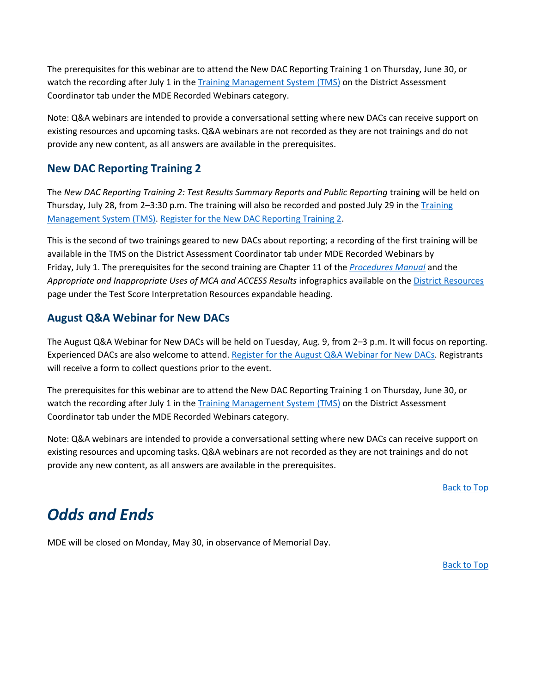The prerequisites for this webinar are to attend the New DAC Reporting Training 1 on Thursday, June 30, or watch the recording after July 1 in the [Training Management System \(TMS\)](http://minnesota.pearsonaccessnext.com/training/) on the District Assessment Coordinator tab under the MDE Recorded Webinars category.

Note: Q&A webinars are intended to provide a conversational setting where new DACs can receive support on existing resources and upcoming tasks. Q&A webinars are not recorded as they are not trainings and do not provide any new content, as all answers are available in the prerequisites.

### **New DAC Reporting Training 2**

The *New DAC Reporting Training 2: Test Results Summary Reports and Public Reporting* training will be held on Thursday, July 28, from 2-3:30 p.m. The training will also be recorded and posted July 29 in the Training [Management System \(TMS\).](http://minnesota.pearsonaccessnext.com/training/) [Register for the New DAC Reporting Training 2.](https://www.zoomgov.com/meeting/register/vJItc-qorjosHXlcX5lefT1tgRvLQVESavE)

This is the second of two trainings geared to new DACs about reporting; a recording of the first training will be available in the TMS on the District Assessment Coordinator tab under MDE Recorded Webinars by Friday, July 1. The prerequisites for the second training are Chapter 11 of the *[Procedures Manual](http://minnesota.pearsonaccessnext.com/policies-and-procedures/)* and the *Appropriate and Inappropriate Uses of MCA and ACCESS Results* infographics available on th[e District Resources](https://education.mn.gov/MDE/dse/test/district/) page under the Test Score Interpretation Resources expandable heading.

### **August Q&A Webinar for New DACs**

The August Q&A Webinar for New DACs will be held on Tuesday, Aug. 9, from 2–3 p.m. It will focus on reporting. Experienced DACs are also welcome to attend. Register for the August [Q&A Webinar for New DACs.](https://www.zoomgov.com/meeting/register/vJItf-2vqzwpEkYwU0eBHY-CmrYTJ4fGh4o) Registrants will receive a form to collect questions prior to the event.

The prerequisites for this webinar are to attend the New DAC Reporting Training 1 on Thursday, June 30, or watch the recording after July 1 in the [Training Management System \(TMS\)](http://minnesota.pearsonaccessnext.com/training/) on the District Assessment Coordinator tab under the MDE Recorded Webinars category.

Note: Q&A webinars are intended to provide a conversational setting where new DACs can receive support on existing resources and upcoming tasks. Q&A webinars are not recorded as they are not trainings and do not provide any new content, as all answers are available in the prerequisites.

[Back to Top](#page-0-1)

### <span id="page-6-0"></span>*Odds and Ends*

MDE will be closed on Monday, May 30, in observance of Memorial Day.

[Back to Top](#page-0-1)